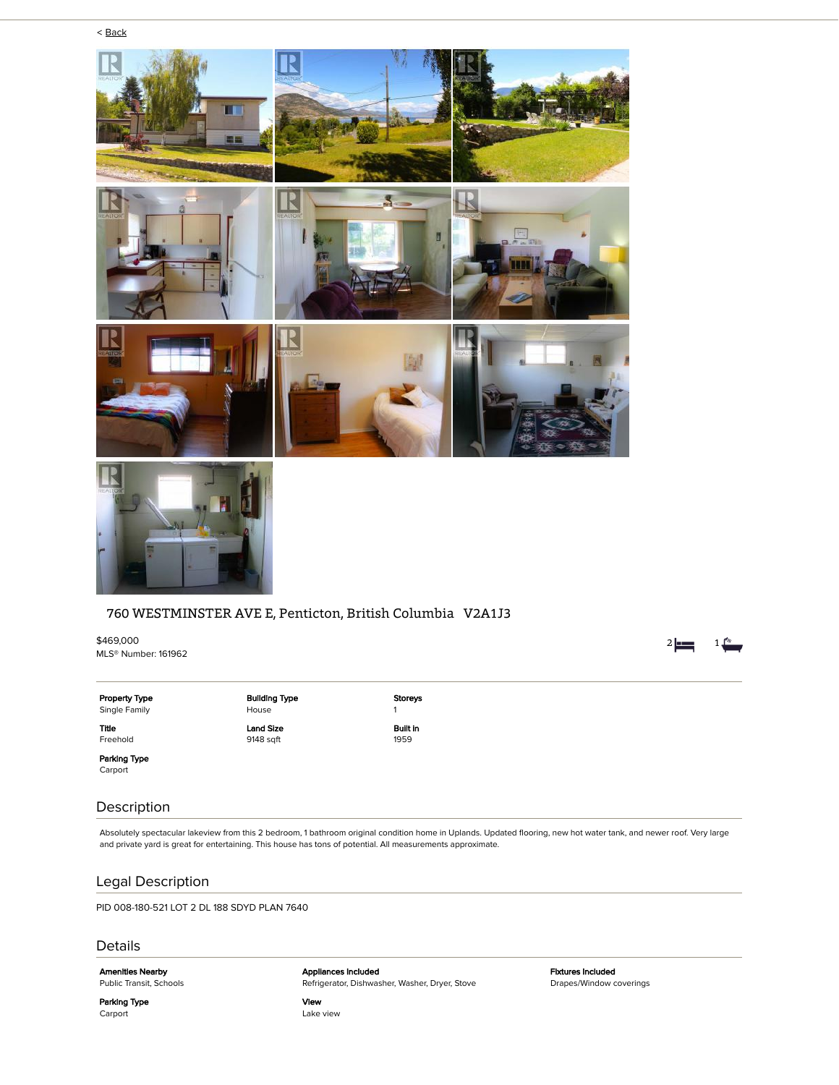

### 760 WESTMINSTER AVE E, Penticton, British Columbia V2A1J3

\$469,000 MLS® Number: 161962

Property Type Single Family Title

Building Type House Land Size 9148 sqft

Storeys 1 Built in 1959

Parking Type Carport

Freehold

## Description

Absolutely spectacular lakeview from this 2 bedroom, 1 bathroom original condition home in Uplands. Updated flooring, new hot water tank, and newer roof. Very large and private yard is great for entertaining. This house has tons of potential. All measurements approximate.

# Legal Description

PID 008-180-521 LOT 2 DL 188 SDYD PLAN 7640

### Details

Parking Type Carport

Amenities Nearby Public Transit, Schools

Appliances Included Refrigerator, Dishwasher, Washer, Dryer, Stove

View Lake view Fixtures Included Drapes/Window coverings 2  $\frac{1}{2}$  1